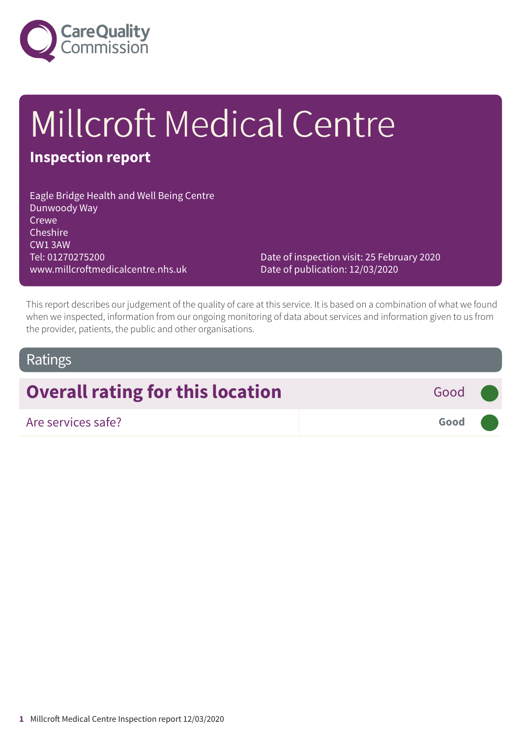

# Millcroft Medical Centre

## **Inspection report**

Eagle Bridge Health and Well Being Centre Dunwoody Way Crewe Cheshire CW1 3AW Tel: 01270275200 www.millcroftmedicalcentre.nhs.uk

Date of inspection visit: 25 February 2020 Date of publication: 12/03/2020

This report describes our judgement of the quality of care at this service. It is based on a combination of what we found when we inspected, information from our ongoing monitoring of data about services and information given to us from the provider, patients, the public and other organisations.

#### Ratings

# **Overall rating for this location** Good **Good**

| Are services safe? | Good |  |
|--------------------|------|--|
|--------------------|------|--|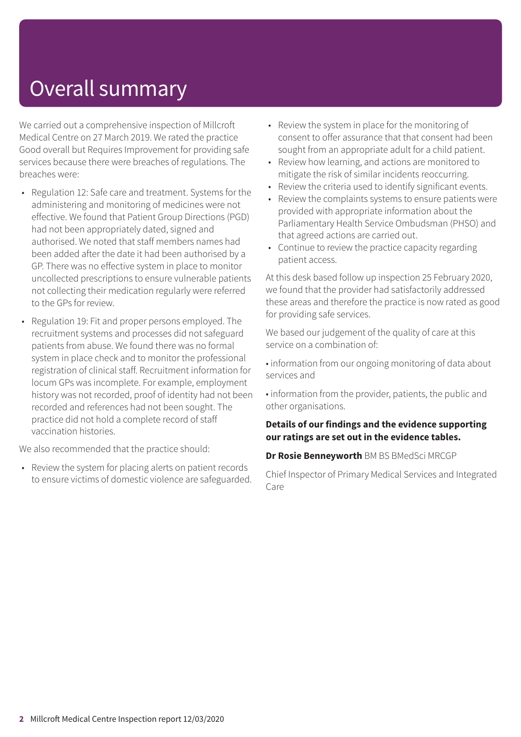# Overall summary

We carried out a comprehensive inspection of Millcroft Medical Centre on 27 March 2019. We rated the practice Good overall but Requires Improvement for providing safe services because there were breaches of regulations. The breaches were:

- Regulation 12: Safe care and treatment. Systems for the administering and monitoring of medicines were not effective. We found that Patient Group Directions (PGD) had not been appropriately dated, signed and authorised. We noted that staff members names had been added after the date it had been authorised by a GP. There was no effective system in place to monitor uncollected prescriptions to ensure vulnerable patients not collecting their medication regularly were referred to the GPs for review.
- Regulation 19: Fit and proper persons employed. The recruitment systems and processes did not safeguard patients from abuse. We found there was no formal system in place check and to monitor the professional registration of clinical staff. Recruitment information for locum GPs was incomplete. For example, employment history was not recorded, proof of identity had not been recorded and references had not been sought. The practice did not hold a complete record of staff vaccination histories.

We also recommended that the practice should:

• Review the system for placing alerts on patient records to ensure victims of domestic violence are safeguarded.

- Review the system in place for the monitoring of consent to offer assurance that that consent had been sought from an appropriate adult for a child patient.
- Review how learning, and actions are monitored to mitigate the risk of similar incidents reoccurring.
- Review the criteria used to identify significant events.
- Review the complaints systems to ensure patients were provided with appropriate information about the Parliamentary Health Service Ombudsman (PHSO) and that agreed actions are carried out.
- Continue to review the practice capacity regarding patient access.

At this desk based follow up inspection 25 February 2020, we found that the provider had satisfactorily addressed these areas and therefore the practice is now rated as good for providing safe services.

We based our judgement of the quality of care at this service on a combination of:

• information from our ongoing monitoring of data about services and

• information from the provider, patients, the public and other organisations.

#### **Details of our findings and the evidence supporting our ratings are set out in the evidence tables.**

**Dr Rosie Benneyworth** BM BS BMedSci MRCGP

Chief Inspector of Primary Medical Services and Integrated Care